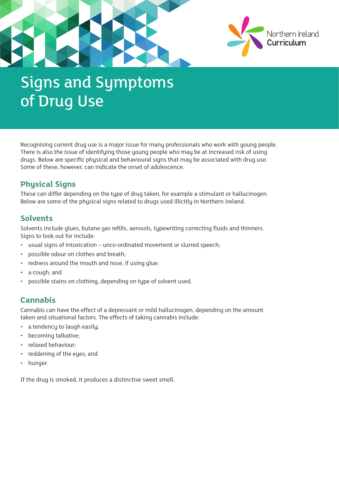

# Signs and Symptoms of Drug Use

Recognising current drug use is a major issue for many professionals who work with young people. There is also the issue of identifying those young people who may be at increased risk of using drugs. Below are specific physical and behavioural signs that may be associated with drug use. Some of these, however, can indicate the onset of adolescence.

### **Physical Signs**

These can differ depending on the type of drug taken, for example a stimulant or hallucinogen. Below are some of the physical signs related to drugs used illicitly in Northern Ireland.

#### **Solvents**

Solvents include glues, butane gas refills, aerosols, typewriting correcting fluids and thinners. Signs to look out for include:

- usual signs of intoxication unco-ordinated movement or slurred speech;
- possible odour on clothes and breath;
- redness around the mouth and nose, if using glue;
- a cough; and
- possible stains on clothing, depending on type of solvent used.

### **Cannabis**

Cannabis can have the effect of a depressant or mild hallucinogen, depending on the amount taken and situational factors. The effects of taking cannabis include:

- a tendency to laugh easily;
- becoming talkative;
- relaxed behaviour;
- reddening of the eyes; and
- hunger.

If the drug is smoked, it produces a distinctive sweet smell.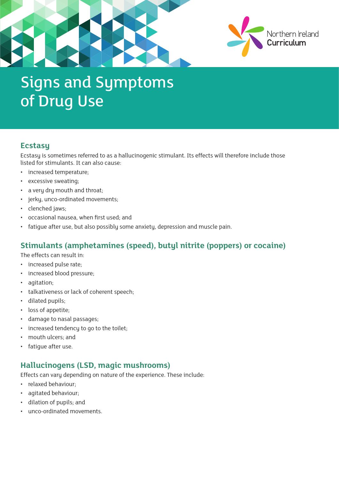

## Signs and Symptoms of Drug Use

#### **Ecstasy**

Ecstasy is sometimes referred to as a hallucinogenic stimulant. Its effects will therefore include those listed for stimulants. It can also cause:

- increased temperature;
- excessive sweating;
- a very dry mouth and throat;
- jerky, unco-ordinated movements;
- clenched jaws;
- occasional nausea, when first used; and
- fatigue after use, but also possibly some anxiety, depression and muscle pain.

### **Stimulants (amphetamines (speed), butyl nitrite (poppers) or cocaine)**

The effects can result in:

- increased pulse rate;
- increased blood pressure;
- agitation;
- talkativeness or lack of coherent speech;
- dilated pupils;
- loss of appetite;
- damage to nasal passages;
- increased tendency to go to the toilet;
- mouth ulcers; and
- fatique after use.

### **Hallucinogens (LSD, magic mushrooms)**

Effects can vary depending on nature of the experience. These include:

- relaxed behaviour;
- agitated behaviour;
- dilation of pupils; and
- unco-ordinated movements.